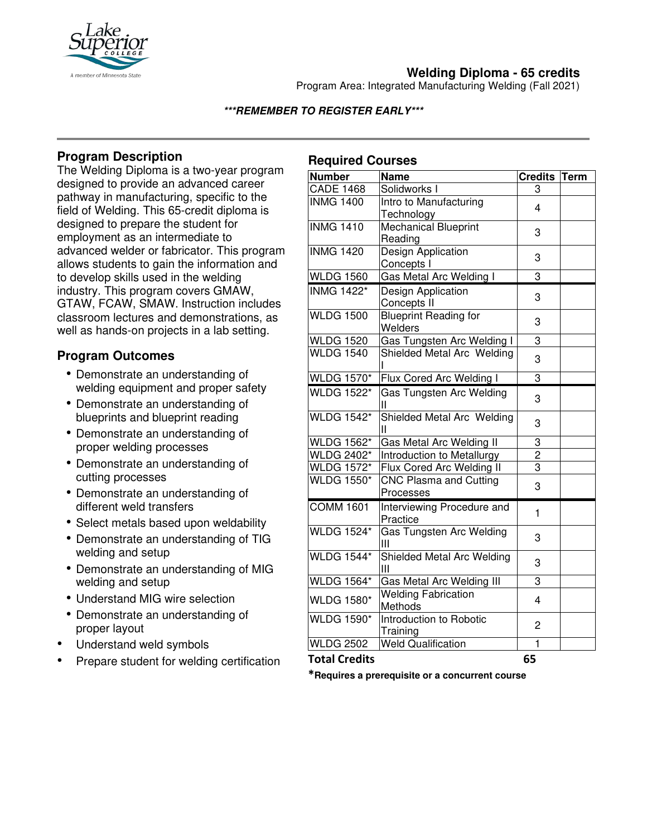

# **Welding Diploma - 65 credits**

Program Area: Integrated Manufacturing Welding (Fall 2021)

## **\*\*\*REMEMBER TO REGISTER EARLY\*\*\***

# **Program Description**

The Welding Diploma is a two-year program designed to provide an advanced career pathway in manufacturing, specific to the field of Welding. This 65-credit diploma is designed to prepare the student for employment as an intermediate to advanced welder or fabricator. This program allows students to gain the information and to develop skills used in the welding industry. This program covers GMAW, GTAW, FCAW, SMAW. Instruction includes classroom lectures and demonstrations, as well as hands-on projects in a lab setting.

## **Program Outcomes**

- Demonstrate an understanding of welding equipment and proper safety
- Demonstrate an understanding of blueprints and blueprint reading
- Demonstrate an understanding of proper welding processes
- Demonstrate an understanding of cutting processes
- Demonstrate an understanding of different weld transfers
- Select metals based upon weldability
- Demonstrate an understanding of TIG welding and setup
- Demonstrate an understanding of MIG welding and setup
- Understand MIG wire selection
- Demonstrate an understanding of proper layout
- Understand weld symbols
- Prepare student for welding certification

# **Required Courses**

| <b>Number</b>     | <b>Name</b>                     | Credits Term   |  |
|-------------------|---------------------------------|----------------|--|
| <b>CADE 1468</b>  | Solidworks I                    | 3              |  |
| <b>INMG 1400</b>  | Intro to Manufacturing          | 4              |  |
|                   | Technology                      |                |  |
| <b>INMG 1410</b>  | <b>Mechanical Blueprint</b>     | 3              |  |
|                   | Reading                         |                |  |
| <b>INMG 1420</b>  | Design Application              | 3              |  |
|                   | Concepts I                      |                |  |
| <b>WLDG 1560</b>  | Gas Metal Arc Welding I         | 3              |  |
| <b>INMG 1422*</b> | Design Application              | 3              |  |
|                   | Concepts II                     |                |  |
| <b>WLDG 1500</b>  | <b>Blueprint Reading for</b>    | 3              |  |
|                   | Welders                         |                |  |
| <b>WLDG 1520</b>  | Gas Tungsten Arc Welding I      | $\overline{3}$ |  |
| <b>WLDG 1540</b>  | Shielded Metal Arc Welding      | 3              |  |
|                   |                                 |                |  |
| <b>WLDG 1570*</b> | Flux Cored Arc Welding I        | 3              |  |
| <b>WLDG 1522*</b> | Gas Tungsten Arc Welding        | 3              |  |
|                   | Ш                               |                |  |
| <b>WLDG 1542*</b> | Shielded Metal Arc Welding<br>Ш | 3              |  |
| <b>WLDG 1562*</b> | Gas Metal Arc Welding II        | 3              |  |
| <b>WLDG 2402*</b> | Introduction to Metallurgy      | $\overline{2}$ |  |
| <b>WLDG 1572*</b> | Flux Cored Arc Welding II       | 3              |  |
| <b>WLDG 1550*</b> | <b>CNC Plasma and Cutting</b>   | 3              |  |
|                   | Processes                       |                |  |
| <b>COMM 1601</b>  | Interviewing Procedure and      | $\mathbf{1}$   |  |
|                   | Practice                        |                |  |
| <b>WLDG 1524*</b> | Gas Tungsten Arc Welding        | 3              |  |
| <b>WLDG 1544*</b> | Ш                               |                |  |
|                   | Shielded Metal Arc Welding<br>Ш | 3              |  |
| <b>WLDG 1564*</b> | Gas Metal Arc Welding III       | 3              |  |
| <b>WLDG 1580*</b> | <b>Welding Fabrication</b>      | 4              |  |
|                   | Methods                         |                |  |
| <b>WLDG 1590*</b> | Introduction to Robotic         | $\overline{c}$ |  |
|                   | Training                        |                |  |
| <b>WLDG 2502</b>  | <b>Weld Qualification</b>       | 1              |  |

#### **Total Credits 65**

**\*Requires a prerequisite or a concurrent course**